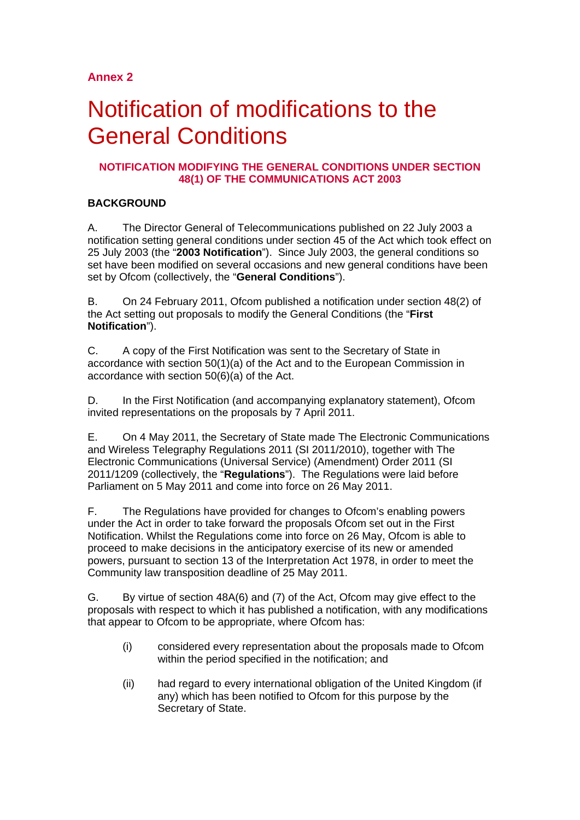# **Annex 2**

# Notification of modifications to the General Conditions

# **NOTIFICATION MODIFYING THE GENERAL CONDITIONS UNDER SECTION 48(1) OF THE COMMUNICATIONS ACT 2003**

# **BACKGROUND**

A. The Director General of Telecommunications published on 22 July 2003 a notification setting general conditions under section 45 of the Act which took effect on 25 July 2003 (the "**2003 Notification**"). Since July 2003, the general conditions so set have been modified on several occasions and new general conditions have been set by Ofcom (collectively, the "**General Conditions**").

B. On 24 February 2011, Ofcom published a notification under section 48(2) of the Act setting out proposals to modify the General Conditions (the "**First Notification**").

C. A copy of the First Notification was sent to the Secretary of State in accordance with section 50(1)(a) of the Act and to the European Commission in accordance with section 50(6)(a) of the Act.

D. In the First Notification (and accompanying explanatory statement), Ofcom invited representations on the proposals by 7 April 2011.

E. On 4 May 2011, the Secretary of State made The Electronic Communications and Wireless Telegraphy Regulations 2011 (SI 2011/2010), together with The Electronic Communications (Universal Service) (Amendment) Order 2011 (SI 2011/1209 (collectively, the "**Regulations**"). The Regulations were laid before Parliament on 5 May 2011 and come into force on 26 May 2011.

F. The Regulations have provided for changes to Ofcom's enabling powers under the Act in order to take forward the proposals Ofcom set out in the First Notification. Whilst the Regulations come into force on 26 May, Ofcom is able to proceed to make decisions in the anticipatory exercise of its new or amended powers, pursuant to section 13 of the Interpretation Act 1978, in order to meet the Community law transposition deadline of 25 May 2011.

G. By virtue of section 48A(6) and (7) of the Act, Ofcom may give effect to the proposals with respect to which it has published a notification, with any modifications that appear to Ofcom to be appropriate, where Ofcom has:

- (i) considered every representation about the proposals made to Ofcom within the period specified in the notification; and
- (ii) had regard to every international obligation of the United Kingdom (if any) which has been notified to Ofcom for this purpose by the Secretary of State.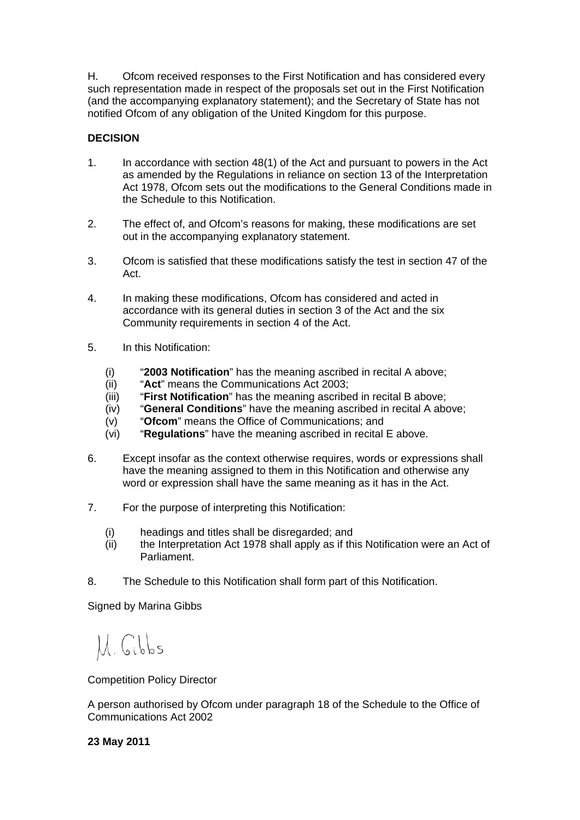H. Ofcom received responses to the First Notification and has considered every such representation made in respect of the proposals set out in the First Notification (and the accompanying explanatory statement); and the Secretary of State has not notified Ofcom of any obligation of the United Kingdom for this purpose.

# **DECISION**

- 1. In accordance with section 48(1) of the Act and pursuant to powers in the Act as amended by the Regulations in reliance on section 13 of the Interpretation Act 1978, Ofcom sets out the modifications to the General Conditions made in the Schedule to this Notification.
- 2. The effect of, and Ofcom's reasons for making, these modifications are set out in the accompanying explanatory statement.
- 3. Ofcom is satisfied that these modifications satisfy the test in section 47 of the Act.
- 4. In making these modifications, Ofcom has considered and acted in accordance with its general duties in section 3 of the Act and the six Community requirements in section 4 of the Act.
- 5. In this Notification:
	- (i) "**2003 Notification**" has the meaning ascribed in recital A above;
	- (ii) "**Act**" means the Communications Act 2003;
	- (iii) "**First Notification**" has the meaning ascribed in recital B above;
	- (iv) "**General Conditions**" have the meaning ascribed in recital A above;
	- (v) "**Ofcom**" means the Office of Communications; and<br>(vi) "**Requiations**" have the meaning ascribed in recital
	- "Requlations" have the meaning ascribed in recital E above.
- 6. Except insofar as the context otherwise requires, words or expressions shall have the meaning assigned to them in this Notification and otherwise any word or expression shall have the same meaning as it has in the Act.
- 7. For the purpose of interpreting this Notification:
	- (i) headings and titles shall be disregarded; and
	- (ii) the Interpretation Act 1978 shall apply as if this Notification were an Act of Parliament.
- 8. The Schedule to this Notification shall form part of this Notification.

Signed by Marina Gibbs

M. Gibbs

Competition Policy Director

A person authorised by Ofcom under paragraph 18 of the Schedule to the Office of Communications Act 2002

# **23 May 2011**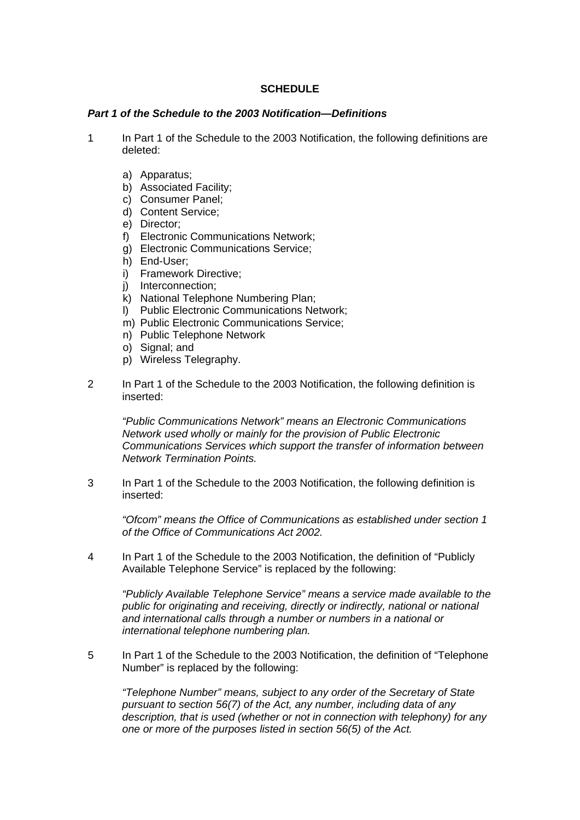# **SCHEDULE**

### *Part 1 of the Schedule to the 2003 Notification—Definitions*

- 1 In Part 1 of the Schedule to the 2003 Notification, the following definitions are deleted:
	- a) Apparatus;
	- b) Associated Facility;
	- c) Consumer Panel;
	- d) Content Service;
	- e) Director;
	- f) Electronic Communications Network;
	- g) Electronic Communications Service;
	- h) End-User;
	- i) Framework Directive;
	- j) Interconnection;
	- k) National Telephone Numbering Plan;
	- l) Public Electronic Communications Network;
	- m) Public Electronic Communications Service;
	- n) Public Telephone Network
	- o) Signal; and
	- p) Wireless Telegraphy.
- 2 In Part 1 of the Schedule to the 2003 Notification, the following definition is inserted:

*"Public Communications Network" means an Electronic Communications Network used wholly or mainly for the provision of Public Electronic Communications Services which support the transfer of information between Network Termination Points.*

3 In Part 1 of the Schedule to the 2003 Notification, the following definition is inserted:

*"Ofcom" means the Office of Communications as established under section 1 of the Office of Communications Act 2002.*

4 In Part 1 of the Schedule to the 2003 Notification, the definition of "Publicly Available Telephone Service" is replaced by the following:

*"Publicly Available Telephone Service" means a service made available to the public for originating and receiving, directly or indirectly, national or national and international calls through a number or numbers in a national or international telephone numbering plan.*

5 In Part 1 of the Schedule to the 2003 Notification, the definition of "Telephone Number" is replaced by the following:

*"Telephone Number" means, subject to any order of the Secretary of State pursuant to section 56(7) of the Act, any number, including data of any description, that is used (whether or not in connection with telephony) for any one or more of the purposes listed in section 56(5) of the Act.*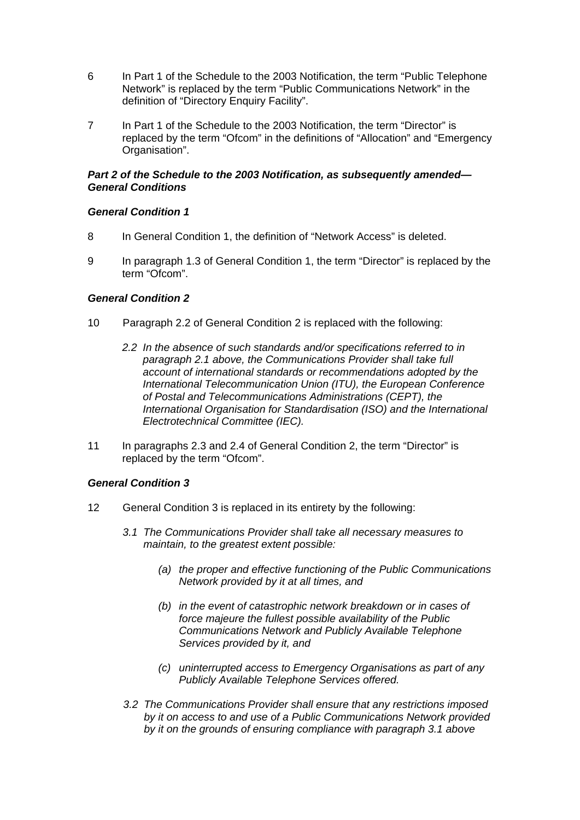- 6 In Part 1 of the Schedule to the 2003 Notification, the term "Public Telephone Network" is replaced by the term "Public Communications Network" in the definition of "Directory Enquiry Facility".
- 7 In Part 1 of the Schedule to the 2003 Notification, the term "Director" is replaced by the term "Ofcom" in the definitions of "Allocation" and "Emergency Organisation".

## *Part 2 of the Schedule to the 2003 Notification, as subsequently amended— General Conditions*

# *General Condition 1*

- 8 In General Condition 1, the definition of "Network Access" is deleted.
- 9 In paragraph 1.3 of General Condition 1, the term "Director" is replaced by the term "Ofcom".

### *General Condition 2*

- 10 Paragraph 2.2 of General Condition 2 is replaced with the following:
	- *2.2 In the absence of such standards and/or specifications referred to in paragraph 2.1 above, the Communications Provider shall take full account of international standards or recommendations adopted by the International Telecommunication Union (ITU), the European Conference of Postal and Telecommunications Administrations (CEPT), the International Organisation for Standardisation (ISO) and the International Electrotechnical Committee (IEC).*
- 11 In paragraphs 2.3 and 2.4 of General Condition 2, the term "Director" is replaced by the term "Ofcom".

#### *General Condition 3*

- 12 General Condition 3 is replaced in its entirety by the following:
	- *3.1 The Communications Provider shall take all necessary measures to maintain, to the greatest extent possible:*
		- *(a) the proper and effective functioning of the Public Communications Network provided by it at all times, and*
		- *(b) in the event of catastrophic network breakdown or in cases of force majeure the fullest possible availability of the Public Communications Network and Publicly Available Telephone Services provided by it, and*
		- *(c) uninterrupted access to Emergency Organisations as part of any Publicly Available Telephone Services offered.*
	- *3.2 The Communications Provider shall ensure that any restrictions imposed by it on access to and use of a Public Communications Network provided by it on the grounds of ensuring compliance with paragraph 3.1 above*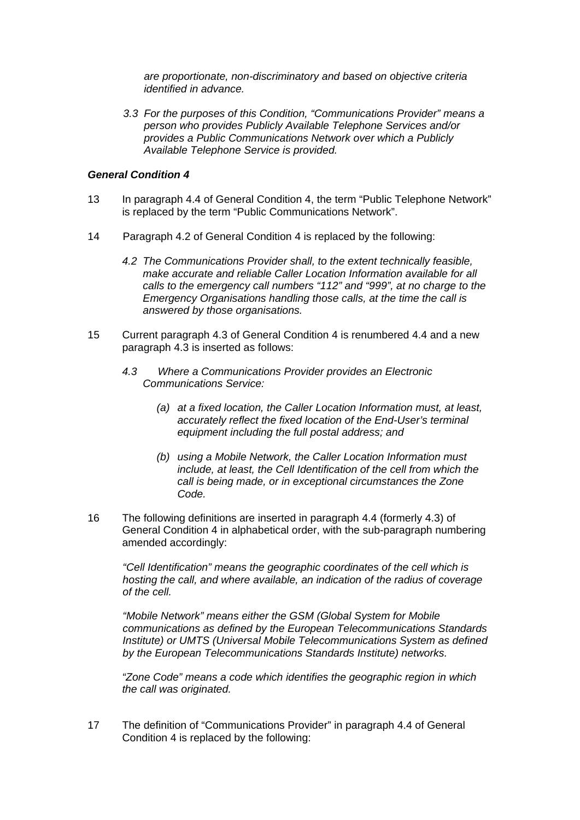*are proportionate, non-discriminatory and based on objective criteria identified in advance.*

*3.3 For the purposes of this Condition, "Communications Provider" means a person who provides Publicly Available Telephone Services and/or provides a Public Communications Network over which a Publicly Available Telephone Service is provided.*

#### *General Condition 4*

- 13 In paragraph 4.4 of General Condition 4, the term "Public Telephone Network" is replaced by the term "Public Communications Network".
- 14 Paragraph 4.2 of General Condition 4 is replaced by the following:
	- *4.2 The Communications Provider shall, to the extent technically feasible, make accurate and reliable Caller Location Information available for all calls to the emergency call numbers "112" and "999", at no charge to the Emergency Organisations handling those calls, at the time the call is answered by those organisations.*
- 15 Current paragraph 4.3 of General Condition 4 is renumbered 4.4 and a new paragraph 4.3 is inserted as follows:
	- *4.3 Where a Communications Provider provides an Electronic Communications Service:*
		- *(a) at a fixed location, the Caller Location Information must, at least, accurately reflect the fixed location of the End-User's terminal equipment including the full postal address; and*
		- *(b) using a Mobile Network, the Caller Location Information must include, at least, the Cell Identification of the cell from which the call is being made, or in exceptional circumstances the Zone Code.*
- 16 The following definitions are inserted in paragraph 4.4 (formerly 4.3) of General Condition 4 in alphabetical order, with the sub-paragraph numbering amended accordingly:

*"Cell Identification" means the geographic coordinates of the cell which is hosting the call, and where available, an indication of the radius of coverage of the cell.*

*"Mobile Network" means either the GSM (Global System for Mobile communications as defined by the European Telecommunications Standards Institute) or UMTS (Universal Mobile Telecommunications System as defined by the European Telecommunications Standards Institute) networks.*

*"Zone Code" means a code which identifies the geographic region in which the call was originated.*

17 The definition of "Communications Provider" in paragraph 4.4 of General Condition 4 is replaced by the following: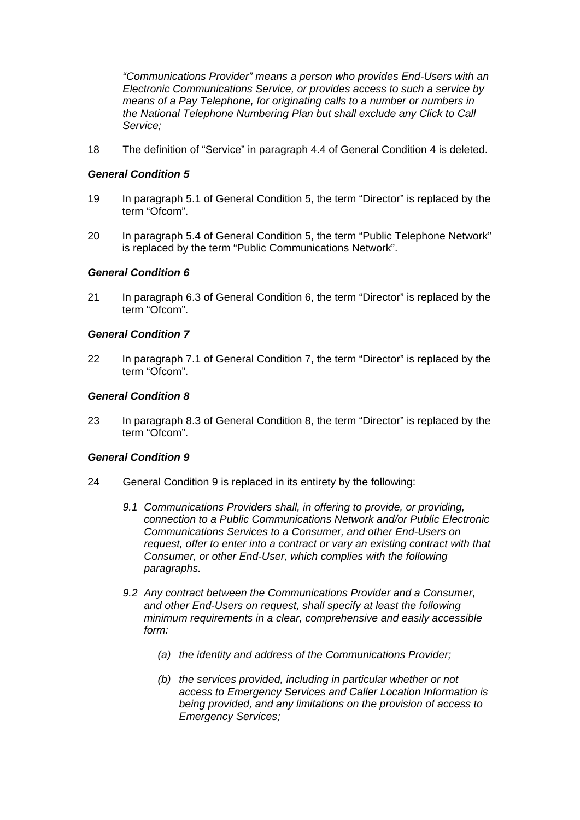*"Communications Provider" means a person who provides End-Users with an Electronic Communications Service, or provides access to such a service by means of a Pay Telephone, for originating calls to a number or numbers in the National Telephone Numbering Plan but shall exclude any Click to Call Service;*

18 The definition of "Service" in paragraph 4.4 of General Condition 4 is deleted.

## *General Condition 5*

- 19 In paragraph 5.1 of General Condition 5, the term "Director" is replaced by the term "Ofcom".
- 20 In paragraph 5.4 of General Condition 5, the term "Public Telephone Network" is replaced by the term "Public Communications Network".

### *General Condition 6*

21 In paragraph 6.3 of General Condition 6, the term "Director" is replaced by the term "Ofcom".

### *General Condition 7*

22 In paragraph 7.1 of General Condition 7, the term "Director" is replaced by the term "Ofcom".

### *General Condition 8*

23 In paragraph 8.3 of General Condition 8, the term "Director" is replaced by the term "Ofcom".

# *General Condition 9*

- 24 General Condition 9 is replaced in its entirety by the following:
	- *9.1 Communications Providers shall, in offering to provide, or providing, connection to a Public Communications Network and/or Public Electronic Communications Services to a Consumer, and other End-Users on request, offer to enter into a contract or vary an existing contract with that Consumer, or other End-User, which complies with the following paragraphs.*
	- *9.2 Any contract between the Communications Provider and a Consumer, and other End-Users on request, shall specify at least the following minimum requirements in a clear, comprehensive and easily accessible form:*
		- *(a) the identity and address of the Communications Provider;*
		- *(b) the services provided, including in particular whether or not access to Emergency Services and Caller Location Information is being provided, and any limitations on the provision of access to Emergency Services;*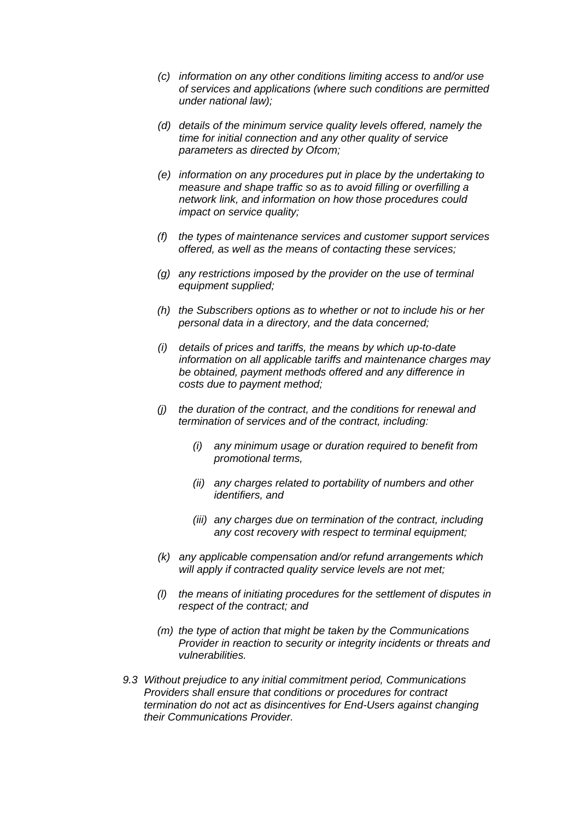- *(c) information on any other conditions limiting access to and/or use of services and applications (where such conditions are permitted under national law);*
- *(d) details of the minimum service quality levels offered, namely the time for initial connection and any other quality of service parameters as directed by Ofcom;*
- *(e) information on any procedures put in place by the undertaking to measure and shape traffic so as to avoid filling or overfilling a network link, and information on how those procedures could impact on service quality;*
- *(f) the types of maintenance services and customer support services offered, as well as the means of contacting these services;*
- *(g) any restrictions imposed by the provider on the use of terminal equipment supplied;*
- *(h) the Subscribers options as to whether or not to include his or her personal data in a directory, and the data concerned;*
- *(i) details of prices and tariffs, the means by which up-to-date information on all applicable tariffs and maintenance charges may be obtained, payment methods offered and any difference in costs due to payment method;*
- *(j) the duration of the contract, and the conditions for renewal and termination of services and of the contract, including:*
	- *(i) any minimum usage or duration required to benefit from promotional terms,*
	- *(ii) any charges related to portability of numbers and other identifiers, and*
	- *(iii) any charges due on termination of the contract, including any cost recovery with respect to terminal equipment;*
- *(k) any applicable compensation and/or refund arrangements which will apply if contracted quality service levels are not met;*
- *(l) the means of initiating procedures for the settlement of disputes in respect of the contract; and*
- *(m) the type of action that might be taken by the Communications Provider in reaction to security or integrity incidents or threats and vulnerabilities.*
- *9.3 Without prejudice to any initial commitment period, Communications Providers shall ensure that conditions or procedures for contract termination do not act as disincentives for End-Users against changing their Communications Provider.*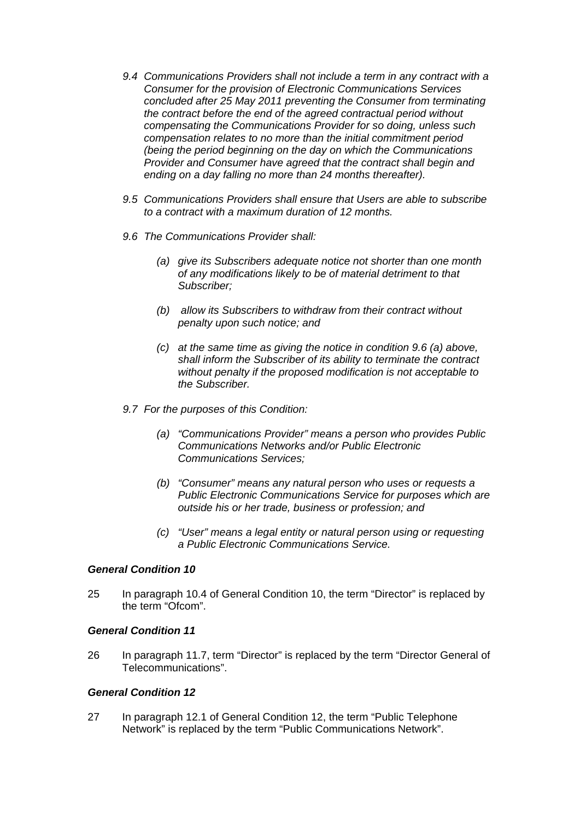- *9.4 Communications Providers shall not include a term in any contract with a Consumer for the provision of Electronic Communications Services concluded after 25 May 2011 preventing the Consumer from terminating the contract before the end of the agreed contractual period without compensating the Communications Provider for so doing, unless such compensation relates to no more than the initial commitment period (being the period beginning on the day on which the Communications Provider and Consumer have agreed that the contract shall begin and ending on a day falling no more than 24 months thereafter).*
- *9.5 Communications Providers shall ensure that Users are able to subscribe to a contract with a maximum duration of 12 months.*
- *9.6 The Communications Provider shall:*
	- *(a) give its Subscribers adequate notice not shorter than one month of any modifications likely to be of material detriment to that Subscriber;*
	- *(b) allow its Subscribers to withdraw from their contract without penalty upon such notice; and*
	- *(c) at the same time as giving the notice in condition 9.6 (a) above, shall inform the Subscriber of its ability to terminate the contract without penalty if the proposed modification is not acceptable to the Subscriber.*
- *9.7 For the purposes of this Condition:*
	- *(a) "Communications Provider" means a person who provides Public Communications Networks and/or Public Electronic Communications Services;*
	- *(b) "Consumer" means any natural person who uses or requests a Public Electronic Communications Service for purposes which are outside his or her trade, business or profession; and*
	- *(c) "User" means a legal entity or natural person using or requesting a Public Electronic Communications Service.*

### *General Condition 10*

25 In paragraph 10.4 of General Condition 10, the term "Director" is replaced by the term "Ofcom".

#### *General Condition 11*

26 In paragraph 11.7, term "Director" is replaced by the term "Director General of Telecommunications".

# *General Condition 12*

27 In paragraph 12.1 of General Condition 12, the term "Public Telephone Network" is replaced by the term "Public Communications Network".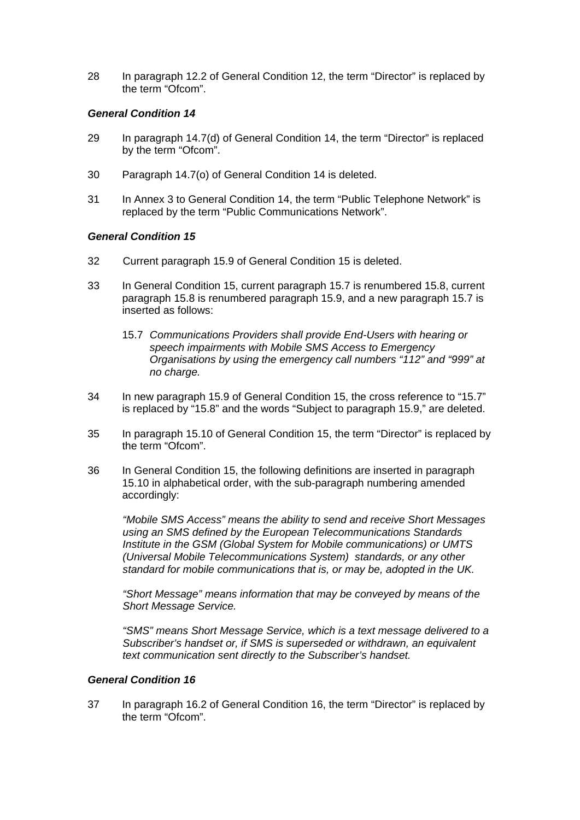28 In paragraph 12.2 of General Condition 12, the term "Director" is replaced by the term "Ofcom".

## *General Condition 14*

- 29 In paragraph 14.7(d) of General Condition 14, the term "Director" is replaced by the term "Ofcom".
- 30 Paragraph 14.7(o) of General Condition 14 is deleted.
- 31 In Annex 3 to General Condition 14, the term "Public Telephone Network" is replaced by the term "Public Communications Network".

### *General Condition 15*

- 32 Current paragraph 15.9 of General Condition 15 is deleted.
- 33 In General Condition 15, current paragraph 15.7 is renumbered 15.8, current paragraph 15.8 is renumbered paragraph 15.9, and a new paragraph 15.7 is inserted as follows:
	- 15.7 *Communications Providers shall provide End-Users with hearing or speech impairments with Mobile SMS Access to Emergency Organisations by using the emergency call numbers "112" and "999" at no charge.*
- 34 In new paragraph 15.9 of General Condition 15, the cross reference to "15.7" is replaced by "15.8" and the words "Subject to paragraph 15.9," are deleted.
- 35 In paragraph 15.10 of General Condition 15, the term "Director" is replaced by the term "Ofcom".
- 36 In General Condition 15, the following definitions are inserted in paragraph 15.10 in alphabetical order, with the sub-paragraph numbering amended accordingly:

*"Mobile SMS Access" means the ability to send and receive Short Messages using an SMS defined by the European Telecommunications Standards Institute in the GSM (Global System for Mobile communications) or UMTS (Universal Mobile Telecommunications System) standards, or any other standard for mobile communications that is, or may be, adopted in the UK.*

*"Short Message" means information that may be conveyed by means of the Short Message Service.*

*"SMS" means Short Message Service, which is a text message delivered to a Subscriber's handset or, if SMS is superseded or withdrawn, an equivalent text communication sent directly to the Subscriber's handset.*

## *General Condition 16*

37 In paragraph 16.2 of General Condition 16, the term "Director" is replaced by the term "Ofcom".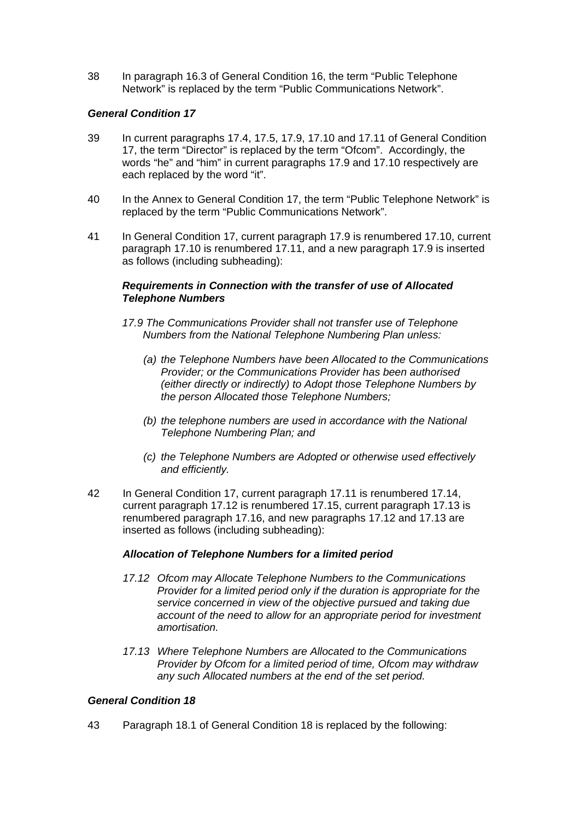38 In paragraph 16.3 of General Condition 16, the term "Public Telephone Network" is replaced by the term "Public Communications Network".

# *General Condition 17*

- 39 In current paragraphs 17.4, 17.5, 17.9, 17.10 and 17.11 of General Condition 17, the term "Director" is replaced by the term "Ofcom". Accordingly, the words "he" and "him" in current paragraphs 17.9 and 17.10 respectively are each replaced by the word "it".
- 40 In the Annex to General Condition 17, the term "Public Telephone Network" is replaced by the term "Public Communications Network".
- 41 In General Condition 17, current paragraph 17.9 is renumbered 17.10, current paragraph 17.10 is renumbered 17.11, and a new paragraph 17.9 is inserted as follows (including subheading):

### *Requirements in Connection with the transfer of use of Allocated Telephone Numbers*

- *17.9 The Communications Provider shall not transfer use of Telephone Numbers from the National Telephone Numbering Plan unless:*
	- *(a) the Telephone Numbers have been Allocated to the Communications Provider; or the Communications Provider has been authorised (either directly or indirectly) to Adopt those Telephone Numbers by the person Allocated those Telephone Numbers;*
	- *(b) the telephone numbers are used in accordance with the National Telephone Numbering Plan; and*
	- *(c) the Telephone Numbers are Adopted or otherwise used effectively and efficiently.*
- 42 In General Condition 17, current paragraph 17.11 is renumbered 17.14, current paragraph 17.12 is renumbered 17.15, current paragraph 17.13 is renumbered paragraph 17.16, and new paragraphs 17.12 and 17.13 are inserted as follows (including subheading):

# *Allocation of Telephone Numbers for a limited period*

- *17.12 Ofcom may Allocate Telephone Numbers to the Communications Provider for a limited period only if the duration is appropriate for the service concerned in view of the objective pursued and taking due account of the need to allow for an appropriate period for investment amortisation.*
- *17.13 Where Telephone Numbers are Allocated to the Communications Provider by Ofcom for a limited period of time, Ofcom may withdraw any such Allocated numbers at the end of the set period.*

# *General Condition 18*

43 Paragraph 18.1 of General Condition 18 is replaced by the following: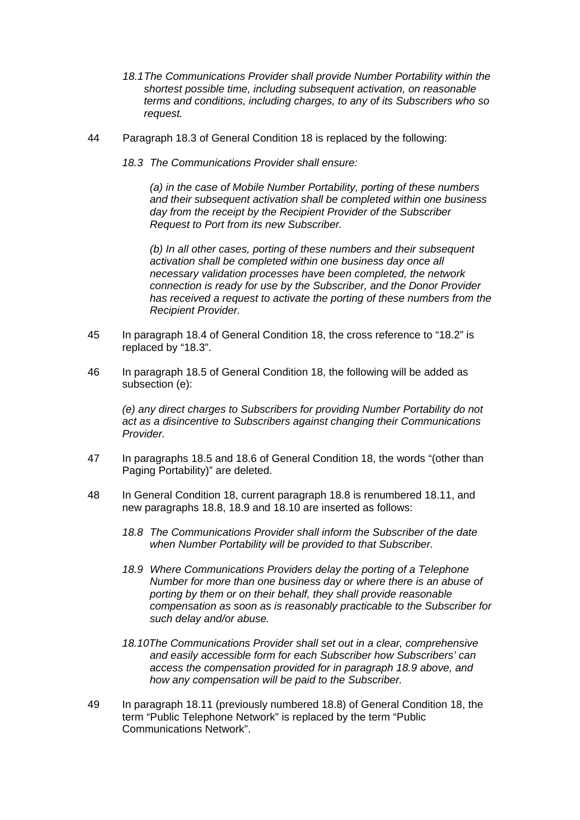- *18.1The Communications Provider shall provide Number Portability within the shortest possible time, including subsequent activation, on reasonable terms and conditions, including charges, to any of its Subscribers who so request.*
- 44 Paragraph 18.3 of General Condition 18 is replaced by the following:
	- *18.3 The Communications Provider shall ensure:*

*(a) in the case of Mobile Number Portability, porting of these numbers and their subsequent activation shall be completed within one business day from the receipt by the Recipient Provider of the Subscriber Request to Port from its new Subscriber.*

*(b) In all other cases, porting of these numbers and their subsequent activation shall be completed within one business day once all necessary validation processes have been completed, the network connection is ready for use by the Subscriber, and the Donor Provider has received a request to activate the porting of these numbers from the Recipient Provider.*

- 45 In paragraph 18.4 of General Condition 18, the cross reference to "18.2" is replaced by "18.3".
- 46 In paragraph 18.5 of General Condition 18, the following will be added as subsection (e):

*(e) any direct charges to Subscribers for providing Number Portability do not act as a disincentive to Subscribers against changing their Communications Provider.*

- 47 In paragraphs 18.5 and 18.6 of General Condition 18, the words "(other than Paging Portability)" are deleted.
- 48 In General Condition 18, current paragraph 18.8 is renumbered 18.11, and new paragraphs 18.8, 18.9 and 18.10 are inserted as follows:
	- *18.8 The Communications Provider shall inform the Subscriber of the date when Number Portability will be provided to that Subscriber.*
	- *18.9 Where Communications Providers delay the porting of a Telephone Number for more than one business day or where there is an abuse of porting by them or on their behalf, they shall provide reasonable compensation as soon as is reasonably practicable to the Subscriber for such delay and/or abuse.*
	- *18.10The Communications Provider shall set out in a clear, comprehensive and easily accessible form for each Subscriber how Subscribers' can access the compensation provided for in paragraph 18.9 above, and how any compensation will be paid to the Subscriber.*
- 49 In paragraph 18.11 (previously numbered 18.8) of General Condition 18, the term "Public Telephone Network" is replaced by the term "Public Communications Network".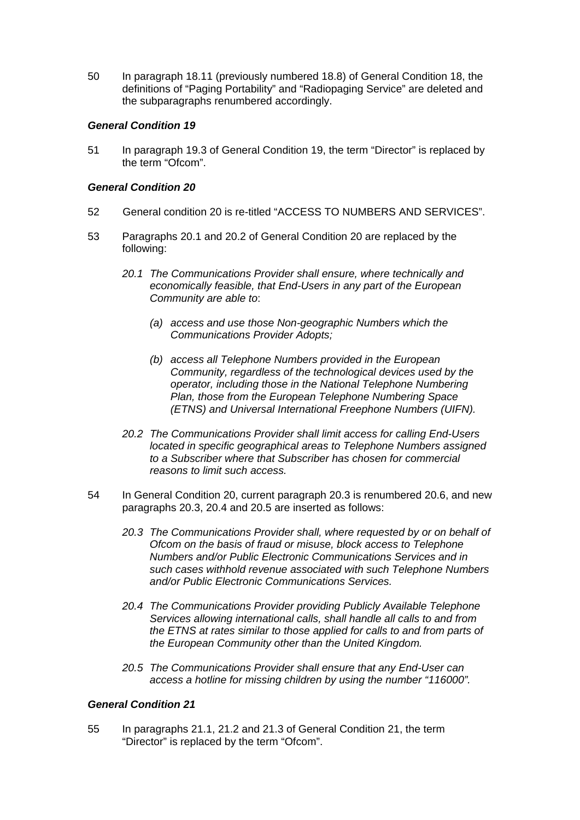50 In paragraph 18.11 (previously numbered 18.8) of General Condition 18, the definitions of "Paging Portability" and "Radiopaging Service" are deleted and the subparagraphs renumbered accordingly.

## *General Condition 19*

51 In paragraph 19.3 of General Condition 19, the term "Director" is replaced by the term "Ofcom".

### *General Condition 20*

- 52 General condition 20 is re-titled "ACCESS TO NUMBERS AND SERVICES".
- 53 Paragraphs 20.1 and 20.2 of General Condition 20 are replaced by the following:
	- *20.1 The Communications Provider shall ensure, where technically and economically feasible, that End-Users in any part of the European Community are able to*:
		- *(a) access and use those Non-geographic Numbers which the Communications Provider Adopts;*
		- *(b) access all Telephone Numbers provided in the European Community, regardless of the technological devices used by the operator, including those in the National Telephone Numbering Plan, those from the European Telephone Numbering Space (ETNS) and Universal International Freephone Numbers (UIFN).*
	- *20.2 The Communications Provider shall limit access for calling End-Users located in specific geographical areas to Telephone Numbers assigned to a Subscriber where that Subscriber has chosen for commercial reasons to limit such access.*
- 54 In General Condition 20, current paragraph 20.3 is renumbered 20.6, and new paragraphs 20.3, 20.4 and 20.5 are inserted as follows:
	- *20.3 The Communications Provider shall, where requested by or on behalf of Ofcom on the basis of fraud or misuse, block access to Telephone Numbers and/or Public Electronic Communications Services and in such cases withhold revenue associated with such Telephone Numbers and/or Public Electronic Communications Services.*
	- *20.4 The Communications Provider providing Publicly Available Telephone Services allowing international calls, shall handle all calls to and from the ETNS at rates similar to those applied for calls to and from parts of the European Community other than the United Kingdom.*
	- *20.5 The Communications Provider shall ensure that any End-User can access a hotline for missing children by using the number "116000".*

## *General Condition 21*

55 In paragraphs 21.1, 21.2 and 21.3 of General Condition 21, the term "Director" is replaced by the term "Ofcom".